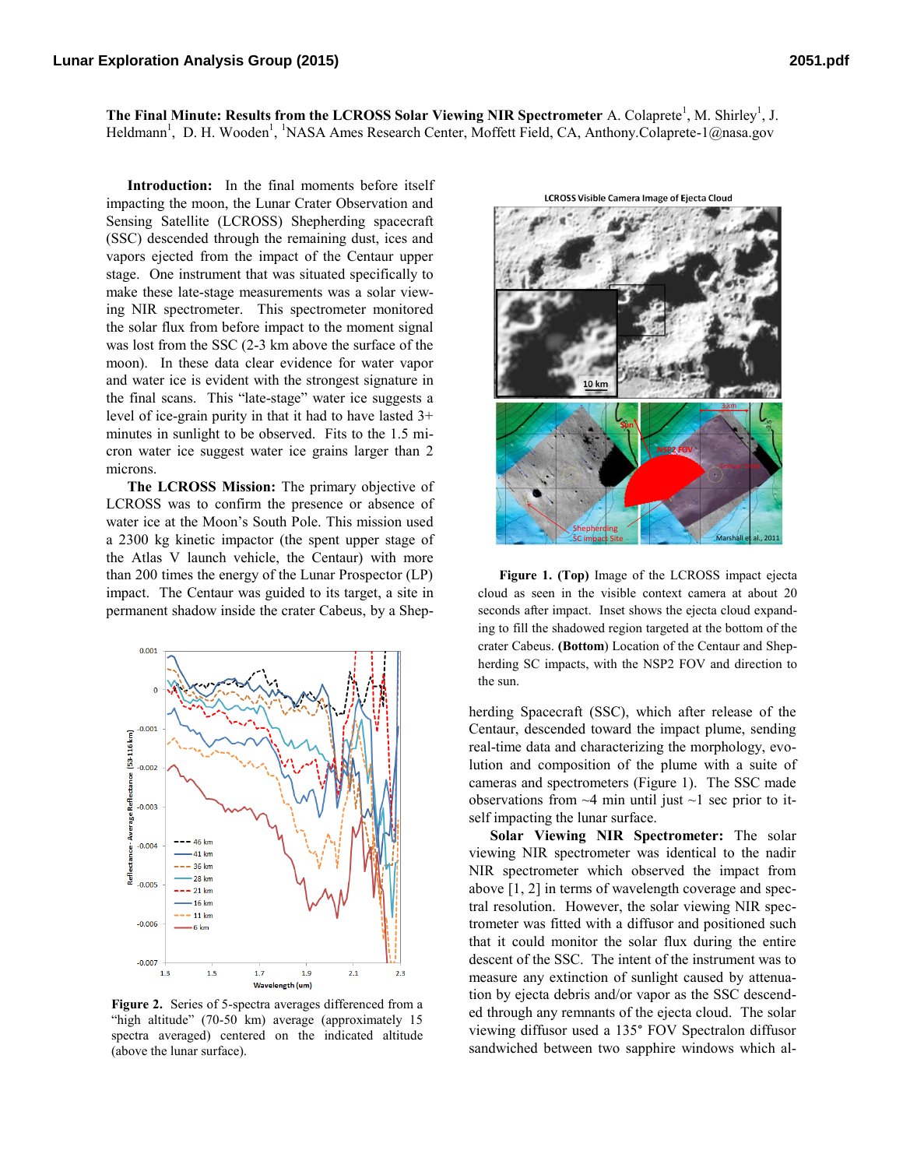The Final Minute: Results from the LCROSS Solar Viewing NIR Spectrometer A. Colaprete<sup>1</sup>, M. Shirley<sup>1</sup>, J. Heldmann<sup>1</sup>, D. H. Wooden<sup>1</sup>, <sup>1</sup>NASA Ames Research Center, Moffett Field, CA, Anthony.Colaprete-1@nasa.gov

**Introduction:** In the final moments before itself impacting the moon, the Lunar Crater Observation and Sensing Satellite (LCROSS) Shepherding spacecraft (SSC) descended through the remaining dust, ices and vapors ejected from the impact of the Centaur upper stage. One instrument that was situated specifically to make these late-stage measurements was a solar viewing NIR spectrometer. This spectrometer monitored the solar flux from before impact to the moment signal was lost from the SSC (2-3 km above the surface of the moon). In these data clear evidence for water vapor and water ice is evident with the strongest signature in the final scans. This "late-stage" water ice suggests a level of ice-grain purity in that it had to have lasted 3+ minutes in sunlight to be observed. Fits to the 1.5 micron water ice suggest water ice grains larger than 2 microns.

**The LCROSS Mission:** The primary objective of LCROSS was to confirm the presence or absence of water ice at the Moon's South Pole. This mission used a 2300 kg kinetic impactor (the spent upper stage of the Atlas V launch vehicle, the Centaur) with more than 200 times the energy of the Lunar Prospector (LP) impact. The Centaur was guided to its target, a site in permanent shadow inside the crater Cabeus, by a Shep-



**Figure 2.** Series of 5-spectra averages differenced from a "high altitude" (70-50 km) average (approximately 15 spectra averaged) centered on the indicated altitude (above the lunar surface).

**LCROSS Visible Camera Image of Ejecta Cloud** 



**Figure 1. (Top)** Image of the LCROSS impact ejecta cloud as seen in the visible context camera at about 20 seconds after impact. Inset shows the ejecta cloud expanding to fill the shadowed region targeted at the bottom of the crater Cabeus. **(Bottom**) Location of the Centaur and Shepherding SC impacts, with the NSP2 FOV and direction to the sun.

herding Spacecraft (SSC), which after release of the Centaur, descended toward the impact plume, sending real-time data and characterizing the morphology, evolution and composition of the plume with a suite of cameras and spectrometers (Figure 1). The SSC made observations from  $\sim$ 4 min until just  $\sim$ 1 sec prior to itself impacting the lunar surface.

**Solar Viewing NIR Spectrometer:** The solar viewing NIR spectrometer was identical to the nadir NIR spectrometer which observed the impact from above [1, 2] in terms of wavelength coverage and spectral resolution. However, the solar viewing NIR spectrometer was fitted with a diffusor and positioned such that it could monitor the solar flux during the entire descent of the SSC. The intent of the instrument was to measure any extinction of sunlight caused by attenuation by ejecta debris and/or vapor as the SSC descended through any remnants of the ejecta cloud. The solar viewing diffusor used a 135° FOV Spectralon diffusor sandwiched between two sapphire windows which al-